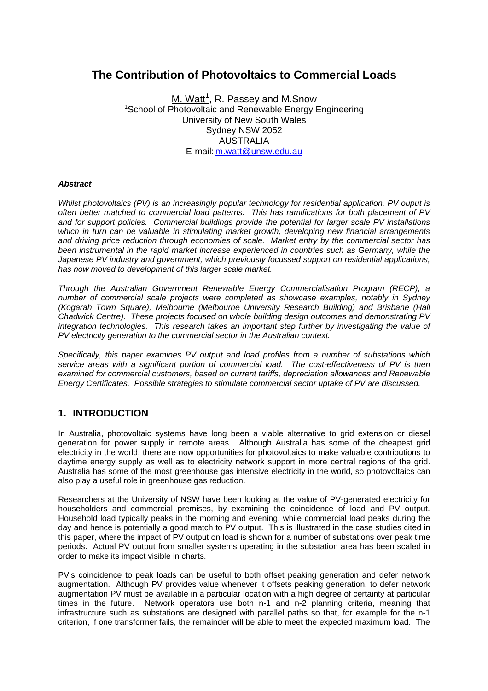# **The Contribution of Photovoltaics to Commercial Loads**

M. Watt<sup>1</sup>, R. Passey and M.Snow <sup>1</sup>School of Photovoltaic and Renewable Energy Engineering University of New South Wales Sydney NSW 2052 AUSTRALIA E-mail: m.watt@unsw.edu.au

#### *Abstract*

*Whilst photovoltaics (PV) is an increasingly popular technology for residential application, PV ouput is often better matched to commercial load patterns. This has ramifications for both placement of PV and for support policies. Commercial buildings provide the potential for larger scale PV installations which in turn can be valuable in stimulating market growth, developing new financial arrangements and driving price reduction through economies of scale. Market entry by the commercial sector has been instrumental in the rapid market increase experienced in countries such as Germany, while the Japanese PV industry and government, which previously focussed support on residential applications, has now moved to development of this larger scale market.* 

*Through the Australian Government Renewable Energy Commercialisation Program (RECP), a number of commercial scale projects were completed as showcase examples, notably in Sydney (Kogarah Town Square), Melbourne (Melbourne University Research Building) and Brisbane (Hall Chadwick Centre). These projects focused on whole building design outcomes and demonstrating PV integration technologies. This research takes an important step further by investigating the value of PV electricity generation to the commercial sector in the Australian context.* 

*Specifically, this paper examines PV output and load profiles from a number of substations which service areas with a significant portion of commercial load. The cost-effectiveness of PV is then examined for commercial customers, based on current tariffs, depreciation allowances and Renewable Energy Certificates. Possible strategies to stimulate commercial sector uptake of PV are discussed.* 

#### **1. INTRODUCTION**

In Australia, photovoltaic systems have long been a viable alternative to grid extension or diesel generation for power supply in remote areas. Although Australia has some of the cheapest grid electricity in the world, there are now opportunities for photovoltaics to make valuable contributions to daytime energy supply as well as to electricity network support in more central regions of the grid. Australia has some of the most greenhouse gas intensive electricity in the world, so photovoltaics can also play a useful role in greenhouse gas reduction.

Researchers at the University of NSW have been looking at the value of PV-generated electricity for householders and commercial premises, by examining the coincidence of load and PV output. Household load typically peaks in the morning and evening, while commercial load peaks during the day and hence is potentially a good match to PV output. This is illustrated in the case studies cited in this paper, where the impact of PV output on load is shown for a number of substations over peak time periods. Actual PV output from smaller systems operating in the substation area has been scaled in order to make its impact visible in charts.

PV's coincidence to peak loads can be useful to both offset peaking generation and defer network augmentation. Although PV provides value whenever it offsets peaking generation, to defer network augmentation PV must be available in a particular location with a high degree of certainty at particular times in the future. Network operators use both n-1 and n-2 planning criteria, meaning that infrastructure such as substations are designed with parallel paths so that, for example for the n-1 criterion, if one transformer fails, the remainder will be able to meet the expected maximum load. The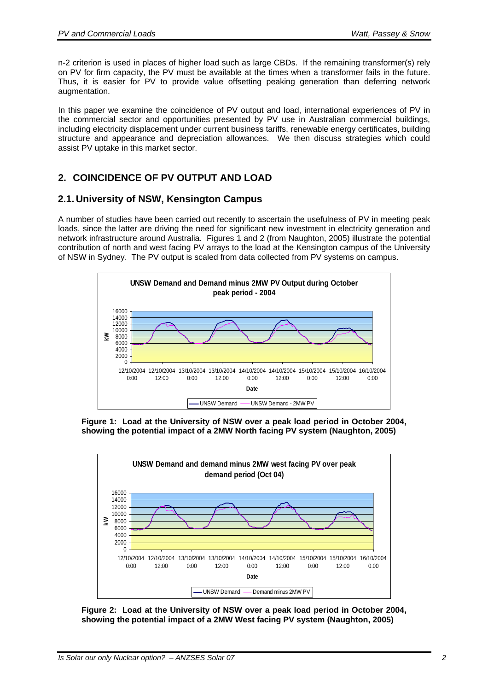n-2 criterion is used in places of higher load such as large CBDs. If the remaining transformer(s) rely on PV for firm capacity, the PV must be available at the times when a transformer fails in the future. Thus, it is easier for PV to provide value offsetting peaking generation than deferring network augmentation.

In this paper we examine the coincidence of PV output and load, international experiences of PV in the commercial sector and opportunities presented by PV use in Australian commercial buildings, including electricity displacement under current business tariffs, renewable energy certificates, building structure and appearance and depreciation allowances. We then discuss strategies which could assist PV uptake in this market sector.

# **2. COINCIDENCE OF PV OUTPUT AND LOAD**

### **2.1. University of NSW, Kensington Campus**

A number of studies have been carried out recently to ascertain the usefulness of PV in meeting peak loads, since the latter are driving the need for significant new investment in electricity generation and network infrastructure around Australia. Figures 1 and 2 (from Naughton, 2005) illustrate the potential contribution of north and west facing PV arrays to the load at the Kensington campus of the University of NSW in Sydney. The PV output is scaled from data collected from PV systems on campus.



**Figure 1: Load at the University of NSW over a peak load period in October 2004, showing the potential impact of a 2MW North facing PV system (Naughton, 2005)** 



**Figure 2: Load at the University of NSW over a peak load period in October 2004, showing the potential impact of a 2MW West facing PV system (Naughton, 2005)**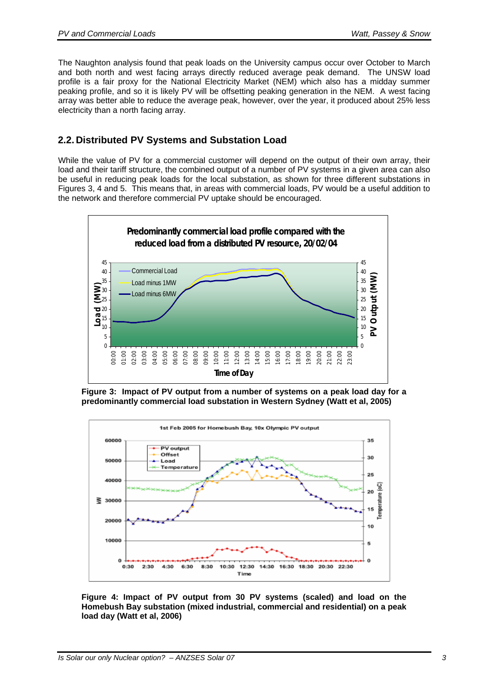The Naughton analysis found that peak loads on the University campus occur over October to March and both north and west facing arrays directly reduced average peak demand. The UNSW load profile is a fair proxy for the National Electricity Market (NEM) which also has a midday summer peaking profile, and so it is likely PV will be offsetting peaking generation in the NEM. A west facing array was better able to reduce the average peak, however, over the year, it produced about 25% less electricity than a north facing array.

### **2.2. Distributed PV Systems and Substation Load**

While the value of PV for a commercial customer will depend on the output of their own array, their load and their tariff structure, the combined output of a number of PV systems in a given area can also be useful in reducing peak loads for the local substation, as shown for three different substations in Figures 3, 4 and 5. This means that, in areas with commercial loads, PV would be a useful addition to the network and therefore commercial PV uptake should be encouraged.



**Figure 3: Impact of PV output from a number of systems on a peak load day for a predominantly commercial load substation in Western Sydney (Watt et al, 2005)** 



**Figure 4: Impact of PV output from 30 PV systems (scaled) and load on the Homebush Bay substation (mixed industrial, commercial and residential) on a peak load day (Watt et al, 2006)**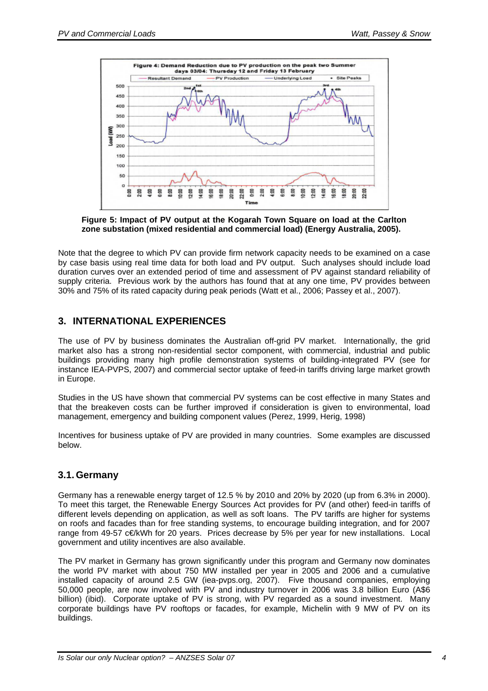

**Figure 5: Impact of PV output at the Kogarah Town Square on load at the Carlton zone substation (mixed residential and commercial load) (Energy Australia, 2005).** 

Note that the degree to which PV can provide firm network capacity needs to be examined on a case by case basis using real time data for both load and PV output. Such analyses should include load duration curves over an extended period of time and assessment of PV against standard reliability of supply criteria. Previous work by the authors has found that at any one time, PV provides between 30% and 75% of its rated capacity during peak periods (Watt et al., 2006; Passey et al., 2007).

### **3. INTERNATIONAL EXPERIENCES**

The use of PV by business dominates the Australian off-grid PV market. Internationally, the grid market also has a strong non-residential sector component, with commercial, industrial and public buildings providing many high profile demonstration systems of building-integrated PV (see for instance IEA-PVPS, 2007) and commercial sector uptake of feed-in tariffs driving large market growth in Europe.

Studies in the US have shown that commercial PV systems can be cost effective in many States and that the breakeven costs can be further improved if consideration is given to environmental, load management, emergency and building component values (Perez, 1999, Herig, 1998)

Incentives for business uptake of PV are provided in many countries. Some examples are discussed below.

### **3.1. Germany**

Germany has a renewable energy target of 12.5 % by 2010 and 20% by 2020 (up from 6.3% in 2000). To meet this target, the Renewable Energy Sources Act provides for PV (and other) feed-in tariffs of different levels depending on application, as well as soft loans. The PV tariffs are higher for systems on roofs and facades than for free standing systems, to encourage building integration, and for 2007 range from 49-57 c€/kWh for 20 years. Prices decrease by 5% per year for new installations. Local government and utility incentives are also available.

The PV market in Germany has grown significantly under this program and Germany now dominates the world PV market with about 750 MW installed per year in 2005 and 2006 and a cumulative installed capacity of around 2.5 GW (iea-pvps.org, 2007). Five thousand companies, employing 50,000 people, are now involved with PV and industry turnover in 2006 was 3.8 billion Euro (A\$6 billion) (ibid). Corporate uptake of PV is strong, with PV regarded as a sound investment. Many corporate buildings have PV rooftops or facades, for example, Michelin with 9 MW of PV on its buildings.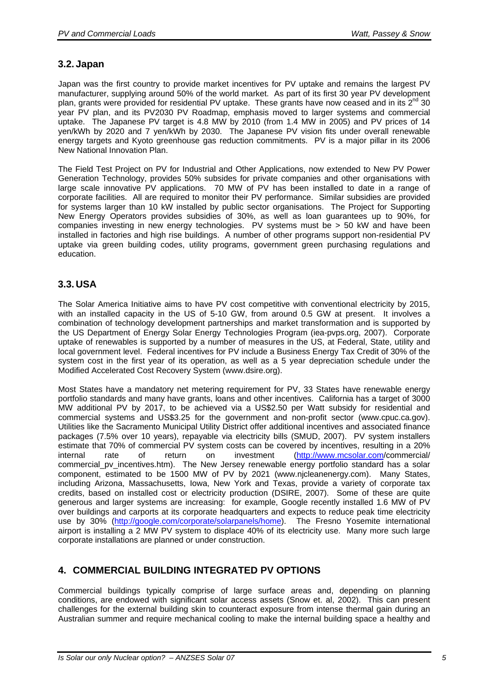### **3.2. Japan**

Japan was the first country to provide market incentives for PV uptake and remains the largest PV manufacturer, supplying around 50% of the world market. As part of its first 30 year PV development plan, grants were provided for residential PV uptake. These grants have now ceased and in its 2<sup>nd</sup> 30 year PV plan, and its PV2030 PV Roadmap, emphasis moved to larger systems and commercial uptake. The Japanese PV target is 4.8 MW by 2010 (from 1.4 MW in 2005) and PV prices of 14 yen/kWh by 2020 and 7 yen/kWh by 2030. The Japanese PV vision fits under overall renewable energy targets and Kyoto greenhouse gas reduction commitments. PV is a major pillar in its 2006 New National Innovation Plan.

The Field Test Project on PV for Industrial and Other Applications, now extended to New PV Power Generation Technology, provides 50% subsides for private companies and other organisations with large scale innovative PV applications. 70 MW of PV has been installed to date in a range of corporate facilities. All are required to monitor their PV performance. Similar subsidies are provided for systems larger than 10 kW installed by public sector organisations. The Project for Supporting New Energy Operators provides subsidies of 30%, as well as loan guarantees up to 90%, for companies investing in new energy technologies. PV systems must be > 50 kW and have been installed in factories and high rise buildings. A number of other programs support non-residential PV uptake via green building codes, utility programs, government green purchasing regulations and education.

### **3.3. USA**

The Solar America Initiative aims to have PV cost competitive with conventional electricity by 2015, with an installed capacity in the US of 5-10 GW, from around 0.5 GW at present. It involves a combination of technology development partnerships and market transformation and is supported by the US Department of Energy Solar Energy Technologies Program (iea-pvps.org, 2007). Corporate uptake of renewables is supported by a number of measures in the US, at Federal, State, utility and local government level. Federal incentives for PV include a Business Energy Tax Credit of 30% of the system cost in the first year of its operation, as well as a 5 year depreciation schedule under the Modified Accelerated Cost Recovery System (www.dsire.org).

Most States have a mandatory net metering requirement for PV, 33 States have renewable energy portfolio standards and many have grants, loans and other incentives. California has a target of 3000 MW additional PV by 2017, to be achieved via a US\$2.50 per Watt subsidy for residential and commercial systems and US\$3.25 for the government and non-profit sector (www.cpuc.ca.gov). Utilities like the Sacramento Municipal Utility District offer additional incentives and associated finance packages (7.5% over 10 years), repayable via electricity bills (SMUD, 2007). PV system installers estimate that 70% of commercial PV system costs can be covered by incentives, resulting in a 20% internal rate of return on investment (http://www.mcsolar.com/commercial/ commercial pv incentives.htm). The New Jersey renewable energy portfolio standard has a solar component, estimated to be 1500 MW of PV by 2021 (www.njcleanenergy.com). Many States, including Arizona, Massachusetts, Iowa, New York and Texas, provide a variety of corporate tax credits, based on installed cost or electricity production (DSIRE, 2007). Some of these are quite generous and larger systems are increasing: for example, Google recently installed 1.6 MW of PV over buildings and carports at its corporate headquarters and expects to reduce peak time electricity use by 30% (http://google.com/corporate/solarpanels/home). The Fresno Yosemite international airport is installing a 2 MW PV system to displace 40% of its electricity use. Many more such large corporate installations are planned or under construction.

## **4. COMMERCIAL BUILDING INTEGRATED PV OPTIONS**

Commercial buildings typically comprise of large surface areas and, depending on planning conditions, are endowed with significant solar access assets (Snow et. al, 2002). This can present challenges for the external building skin to counteract exposure from intense thermal gain during an Australian summer and require mechanical cooling to make the internal building space a healthy and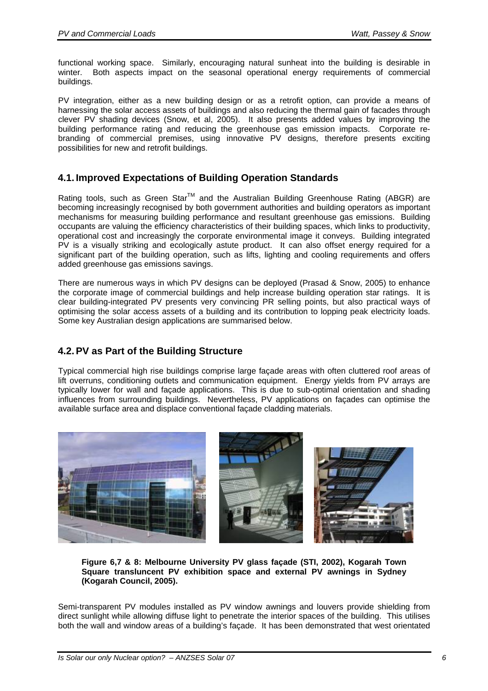functional working space. Similarly, encouraging natural sunheat into the building is desirable in winter. Both aspects impact on the seasonal operational energy requirements of commercial buildings.

PV integration, either as a new building design or as a retrofit option, can provide a means of harnessing the solar access assets of buildings and also reducing the thermal gain of facades through clever PV shading devices (Snow, et al, 2005). It also presents added values by improving the building performance rating and reducing the greenhouse gas emission impacts. Corporate rebranding of commercial premises, using innovative PV designs, therefore presents exciting possibilities for new and retrofit buildings.

# **4.1. Improved Expectations of Building Operation Standards**

Rating tools, such as Green Star<sup>TM</sup> and the Australian Building Greenhouse Rating (ABGR) are becoming increasingly recognised by both government authorities and building operators as important mechanisms for measuring building performance and resultant greenhouse gas emissions. Building occupants are valuing the efficiency characteristics of their building spaces, which links to productivity, operational cost and increasingly the corporate environmental image it conveys. Building integrated PV is a visually striking and ecologically astute product. It can also offset energy required for a significant part of the building operation, such as lifts, lighting and cooling requirements and offers added greenhouse gas emissions savings.

There are numerous ways in which PV designs can be deployed (Prasad & Snow, 2005) to enhance the corporate image of commercial buildings and help increase building operation star ratings. It is clear building-integrated PV presents very convincing PR selling points, but also practical ways of optimising the solar access assets of a building and its contribution to lopping peak electricity loads. Some key Australian design applications are summarised below.

## **4.2. PV as Part of the Building Structure**

Typical commercial high rise buildings comprise large façade areas with often cluttered roof areas of lift overruns, conditioning outlets and communication equipment. Energy yields from PV arrays are typically lower for wall and façade applications. This is due to sub-optimal orientation and shading influences from surrounding buildings. Nevertheless, PV applications on façades can optimise the available surface area and displace conventional façade cladding materials.



**Figure 6,7 & 8: Melbourne University PV glass façade (STI, 2002), Kogarah Town Square transluncent PV exhibition space and external PV awnings in Sydney (Kogarah Council, 2005).** 

Semi-transparent PV modules installed as PV window awnings and louvers provide shielding from direct sunlight while allowing diffuse light to penetrate the interior spaces of the building. This utilises both the wall and window areas of a building's façade. It has been demonstrated that west orientated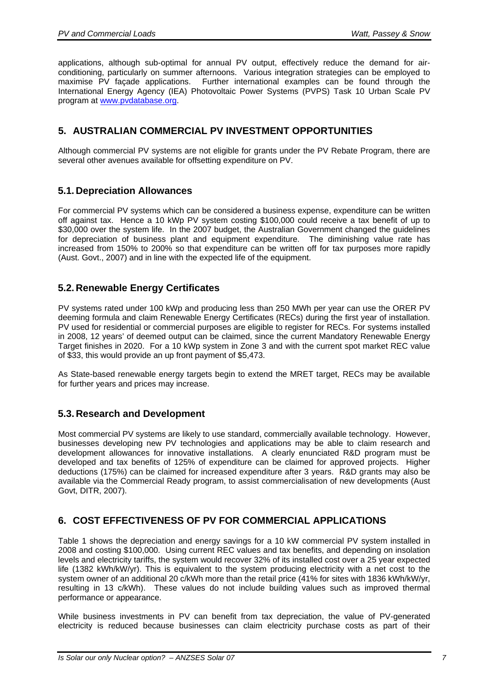applications, although sub-optimal for annual PV output, effectively reduce the demand for airconditioning, particularly on summer afternoons. Various integration strategies can be employed to maximise PV façade applications. Further international examples can be found through the International Energy Agency (IEA) Photovoltaic Power Systems (PVPS) Task 10 Urban Scale PV program at www.pvdatabase.org.

### **5. AUSTRALIAN COMMERCIAL PV INVESTMENT OPPORTUNITIES**

Although commercial PV systems are not eligible for grants under the PV Rebate Program, there are several other avenues available for offsetting expenditure on PV.

### **5.1. Depreciation Allowances**

For commercial PV systems which can be considered a business expense, expenditure can be written off against tax. Hence a 10 kWp PV system costing \$100,000 could receive a tax benefit of up to \$30,000 over the system life. In the 2007 budget, the Australian Government changed the guidelines for depreciation of business plant and equipment expenditure. The diminishing value rate has increased from 150% to 200% so that expenditure can be written off for tax purposes more rapidly (Aust. Govt., 2007) and in line with the expected life of the equipment.

### **5.2. Renewable Energy Certificates**

PV systems rated under 100 kWp and producing less than 250 MWh per year can use the ORER PV deeming formula and claim Renewable Energy Certificates (RECs) during the first year of installation. PV used for residential or commercial purposes are eligible to register for RECs. For systems installed in 2008, 12 years' of deemed output can be claimed, since the current Mandatory Renewable Energy Target finishes in 2020. For a 10 kWp system in Zone 3 and with the current spot market REC value of \$33, this would provide an up front payment of \$5,473.

As State-based renewable energy targets begin to extend the MRET target, RECs may be available for further years and prices may increase.

#### **5.3. Research and Development**

Most commercial PV systems are likely to use standard, commercially available technology. However, businesses developing new PV technologies and applications may be able to claim research and development allowances for innovative installations. A clearly enunciated R&D program must be developed and tax benefits of 125% of expenditure can be claimed for approved projects. Higher deductions (175%) can be claimed for increased expenditure after 3 years. R&D grants may also be available via the Commercial Ready program, to assist commercialisation of new developments (Aust Govt, DITR, 2007).

### **6. COST EFFECTIVENESS OF PV FOR COMMERCIAL APPLICATIONS**

Table 1 shows the depreciation and energy savings for a 10 kW commercial PV system installed in 2008 and costing \$100,000. Using current REC values and tax benefits, and depending on insolation levels and electricity tariffs, the system would recover 32% of its installed cost over a 25 year expected life (1382 kWh/kW/yr). This is equivalent to the system producing electricity with a net cost to the system owner of an additional 20 c/kWh more than the retail price (41% for sites with 1836 kWh/kW/yr, resulting in 13 c/kWh). These values do not include building values such as improved thermal performance or appearance.

While business investments in PV can benefit from tax depreciation, the value of PV-generated electricity is reduced because businesses can claim electricity purchase costs as part of their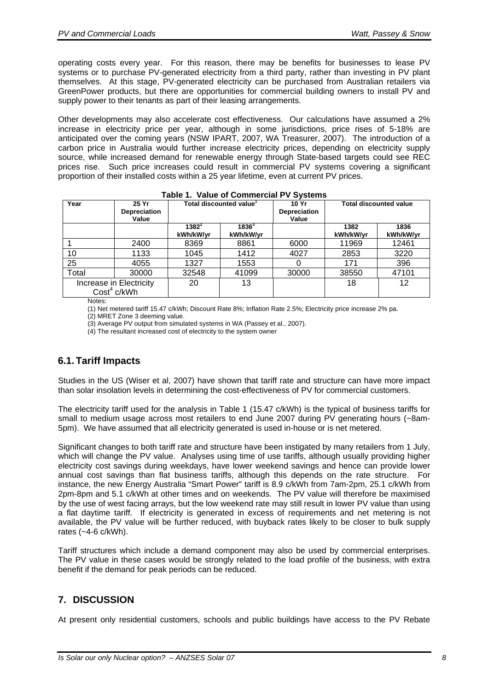operating costs every year. For this reason, there may be benefits for businesses to lease PV systems or to purchase PV-generated electricity from a third party, rather than investing in PV plant themselves. At this stage, PV-generated electricity can be purchased from Australian retailers via GreenPower products, but there are opportunities for commercial building owners to install PV and supply power to their tenants as part of their leasing arrangements.

Other developments may also accelerate cost effectiveness. Our calculations have assumed a 2% increase in electricity price per year, although in some jurisdictions, price rises of 5-18% are anticipated over the coming years (NSW IPART, 2007, WA Treasurer, 2007). The introduction of a carbon price in Australia would further increase electricity prices, depending on electricity supply source, while increased demand for renewable energy through State-based targets could see REC prices rise. Such price increases could result in commercial PV systems covering a significant proportion of their installed costs within a 25 year lifetime, even at current PV prices.

| Year                                               | 25 Yr<br><b>Depreciation</b><br>Value | Total discounted value <sup>1</sup> |                       | 10 Yr<br>Depreciation<br>Value | <b>Total discounted value</b> |                   |
|----------------------------------------------------|---------------------------------------|-------------------------------------|-----------------------|--------------------------------|-------------------------------|-------------------|
|                                                    |                                       | $1382^2$<br>kWh/kW/yr               | $1836^3$<br>kWh/kW/yr |                                | 1382<br>kWh/kW/yr             | 1836<br>kWh/kW/yr |
|                                                    | 2400                                  | 8369                                | 8861                  | 6000                           | 11969                         | 12461             |
| 10                                                 | 1133                                  | 1045                                | 1412                  | 4027                           | 2853                          | 3220              |
| 25                                                 | 4055                                  | 1327                                | 1553                  |                                | 171                           | 396               |
| Total                                              | 30000                                 | 32548                               | 41099                 | 30000                          | 38550                         | 47101             |
| Increase in Electricity<br>Cost <sup>4</sup> c/kWh |                                       | 20                                  | 13                    |                                | 18                            | 12                |

#### **Table 1. Value of Commercial PV Systems**

Notes:

(1) Net metered tariff 15.47 c/kWh; Discount Rate 8%; Inflation Rate 2.5%; Electricity price increase 2% pa.

(2) MRET Zone 3 deeming value.

(3) Average PV output from simulated systems in WA (Passey et al., 2007).

(4) The resultant increased cost of electricity to the system owner

### **6.1. Tariff Impacts**

Studies in the US (Wiser et al, 2007) have shown that tariff rate and structure can have more impact than solar insolation levels in determining the cost-effectiveness of PV for commercial customers.

The electricity tariff used for the analysis in Table 1 (15.47 c/kWh) is the typical of business tariffs for small to medium usage across most retailers to end June 2007 during PV generating hours (~8am-5pm). We have assumed that all electricity generated is used in-house or is net metered.

Significant changes to both tariff rate and structure have been instigated by many retailers from 1 July, which will change the PV value. Analyses using time of use tariffs, although usually providing higher electricity cost savings during weekdays, have lower weekend savings and hence can provide lower annual cost savings than flat business tariffs, although this depends on the rate structure. For instance, the new Energy Australia "Smart Power" tariff is 8.9 c/kWh from 7am-2pm, 25.1 c/kWh from 2pm-8pm and 5.1 c/kWh at other times and on weekends. The PV value will therefore be maximised by the use of west facing arrays, but the low weekend rate may still result in lower PV value than using a flat daytime tariff. If electricity is generated in excess of requirements and net metering is not available, the PV value will be further reduced, with buyback rates likely to be closer to bulk supply rates (~4-6 c/kWh).

Tariff structures which include a demand component may also be used by commercial enterprises. The PV value in these cases would be strongly related to the load profile of the business, with extra benefit if the demand for peak periods can be reduced.

### **7. DISCUSSION**

At present only residential customers, schools and public buildings have access to the PV Rebate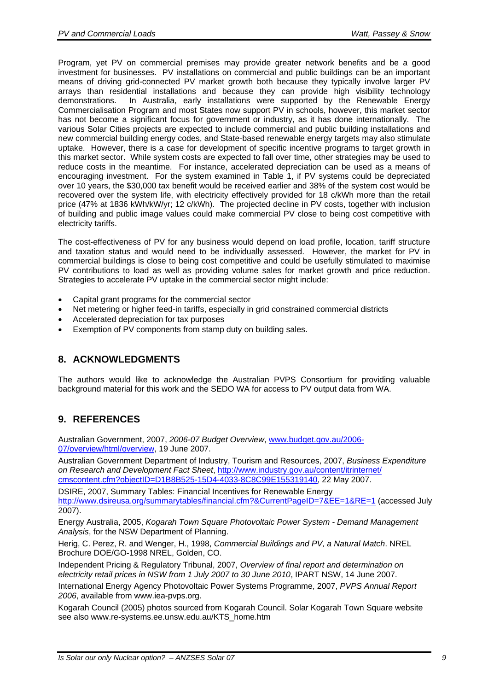Program, yet PV on commercial premises may provide greater network benefits and be a good investment for businesses. PV installations on commercial and public buildings can be an important means of driving grid-connected PV market growth both because they typically involve larger PV arrays than residential installations and because they can provide high visibility technology demonstrations. In Australia, early installations were supported by the Renewable Energy Commercialisation Program and most States now support PV in schools, however, this market sector has not become a significant focus for government or industry, as it has done internationally. The various Solar Cities projects are expected to include commercial and public building installations and new commercial building energy codes, and State-based renewable energy targets may also stimulate uptake. However, there is a case for development of specific incentive programs to target growth in this market sector. While system costs are expected to fall over time, other strategies may be used to reduce costs in the meantime. For instance, accelerated depreciation can be used as a means of encouraging investment. For the system examined in Table 1, if PV systems could be depreciated over 10 years, the \$30,000 tax benefit would be received earlier and 38% of the system cost would be recovered over the system life, with electricity effectively provided for 18 c/kWh more than the retail price (47% at 1836 kWh/kW/yr; 12 c/kWh). The projected decline in PV costs, together with inclusion of building and public image values could make commercial PV close to being cost competitive with electricity tariffs.

The cost-effectiveness of PV for any business would depend on load profile, location, tariff structure and taxation status and would need to be individually assessed. However, the market for PV in commercial buildings is close to being cost competitive and could be usefully stimulated to maximise PV contributions to load as well as providing volume sales for market growth and price reduction. Strategies to accelerate PV uptake in the commercial sector might include:

- Capital grant programs for the commercial sector
- Net metering or higher feed-in tariffs, especially in grid constrained commercial districts
- Accelerated depreciation for tax purposes
- Exemption of PV components from stamp duty on building sales.

## **8. ACKNOWLEDGMENTS**

The authors would like to acknowledge the Australian PVPS Consortium for providing valuable background material for this work and the SEDO WA for access to PV output data from WA.

## **9. REFERENCES**

Australian Government, 2007, *2006-07 Budget Overview*, www.budget.gov.au/2006- 07/overview/html/overview, 19 June 2007.

Australian Government Department of Industry, Tourism and Resources, 2007, *Business Expenditure on Research and Development Fact Sheet*, http://www.industry.gov.au/content/itrinternet/ cmscontent.cfm?objectID=D1B8B525-15D4-4033-8C8C99E155319140, 22 May 2007.

DSIRE, 2007, Summary Tables: Financial Incentives for Renewable Energy http://www.dsireusa.org/summarytables/financial.cfm?&CurrentPageID=7&EE=1&RE=1 (accessed July 2007).

Energy Australia, 2005, *Kogarah Town Square Photovoltaic Power System - Demand Management Analysis*, for the NSW Department of Planning.

Herig, C. Perez, R. and Wenger, H., 1998, *Commercial Buildings and PV, a Natural Match*. NREL Brochure DOE/GO-1998 NREL, Golden, CO.

Independent Pricing & Regulatory Tribunal, 2007, *Overview of final report and determination on electricity retail prices in NSW from 1 July 2007 to 30 June 2010*, IPART NSW, 14 June 2007.

International Energy Agency Photovoltaic Power Systems Programme, 2007, *PVPS Annual Report 2006*, available from www.iea-pvps.org.

Kogarah Council (2005) photos sourced from Kogarah Council. Solar Kogarah Town Square website see also www.re-systems.ee.unsw.edu.au/KTS\_home.htm